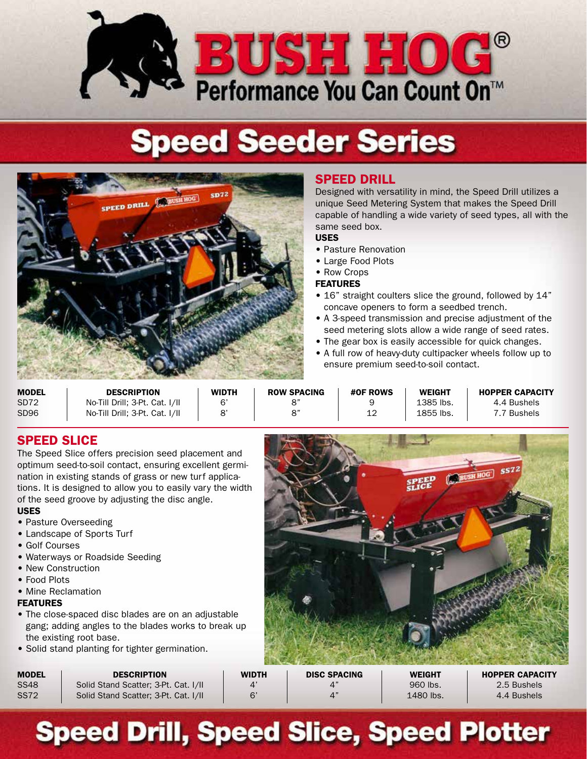

# **Speed Seeder Series**



## SPEED DRILL

Designed with versatility in mind, the Speed Drill utilizes a unique Seed Metering System that makes the Speed Drill capable of handling a wide variety of seed types, all with the same seed box.

## USES

- Pasture Renovation
- Large Food Plots
- Row Crops

#### FEATURES

- 16" straight coulters slice the ground, followed by 14" concave openers to form a seedbed trench.
- A 3-speed transmission and precise adjustment of the seed metering slots allow a wide range of seed rates.
- The gear box is easily accessible for quick changes.
- A full row of heavy-duty cultipacker wheels follow up to ensure premium seed-to-soil contact.

| <b>MODEL</b>     | <b>DESCRIPTION</b>             | <b>WIDTH</b> | <b>ROW SPACING</b> | <b>#OF ROWS</b> | <b>WEIGHT</b> | <b>HOPPER CAPACITY</b> |
|------------------|--------------------------------|--------------|--------------------|-----------------|---------------|------------------------|
| SD <sub>72</sub> | No-Till Drill; 3-Pt. Cat. I/II | 6            |                    |                 | 1385 lbs.     | 4.4 Bushels            |
| SD <sub>96</sub> | No-Till Drill; 3-Pt. Cat. I/II |              | R"                 |                 | 1855 lbs.     | 7.7 Bushels            |

**CONTRACTOR** 

## SPEED SLICE

The Speed Slice offers precision seed placement and optimum seed-to-soil contact, ensuring excellent germination in existing stands of grass or new turf applications. It is designed to allow you to easily vary the width of the seed groove by adjusting the disc angle.

## USES

- Pasture Overseeding
- Landscape of Sports Turf
- Golf Courses
- Waterways or Roadside Seeding
- New Construction
- Food Plots
- Mine Reclamation

## FEATURES

- The close-spaced disc blades are on an adjustable gang; adding angles to the blades works to break up the existing root base.
- Solid stand planting for tighter germination.

|                     | SPEED     | <b>SS72</b><br><b>BUSH HOG!</b> |
|---------------------|-----------|---------------------------------|
|                     |           |                                 |
|                     |           |                                 |
|                     |           |                                 |
| <b>NICO CRAQINO</b> | 11/T1Q11T | <b>UABBER ALBLAITV</b>          |

| MODEL | <b>DESCRIPTION</b>                   | WIDTH | <b>DISC SPACING</b> | <b>WEIGHT</b> | <b>HOPPER CAPACITY</b> |
|-------|--------------------------------------|-------|---------------------|---------------|------------------------|
| SS48  | Solid Stand Scatter: 3-Pt. Cat. I/II |       |                     | 960 lbs.      | 2.5 Bushels            |
| SS72  | Solid Stand Scatter: 3-Pt. Cat. I/II | ิ ก'  | $\Lambda$ "         | 1480 lbs.     | 4.4 Bushels            |

## **Speed Drill, Speed Slice, Speed Plotter**